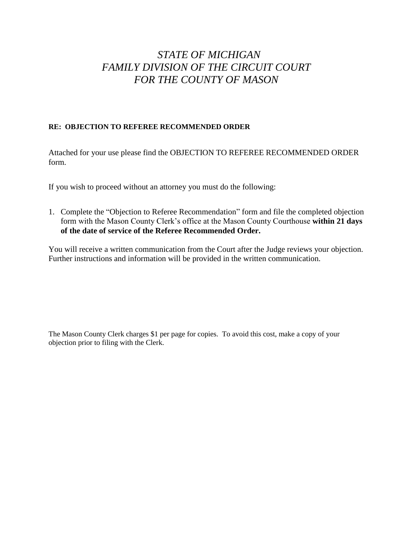# *STATE OF MICHIGAN FAMILY DIVISION OF THE CIRCUIT COURT FOR THE COUNTY OF MASON*

### **RE: OBJECTION TO REFEREE RECOMMENDED ORDER**

Attached for your use please find the OBJECTION TO REFEREE RECOMMENDED ORDER form.

If you wish to proceed without an attorney you must do the following:

1. Complete the "Objection to Referee Recommendation" form and file the completed objection form with the Mason County Clerk's office at the Mason County Courthouse **within 21 days of the date of service of the Referee Recommended Order.**

You will receive a written communication from the Court after the Judge reviews your objection. Further instructions and information will be provided in the written communication.

The Mason County Clerk charges \$1 per page for copies. To avoid this cost, make a copy of your objection prior to filing with the Clerk.